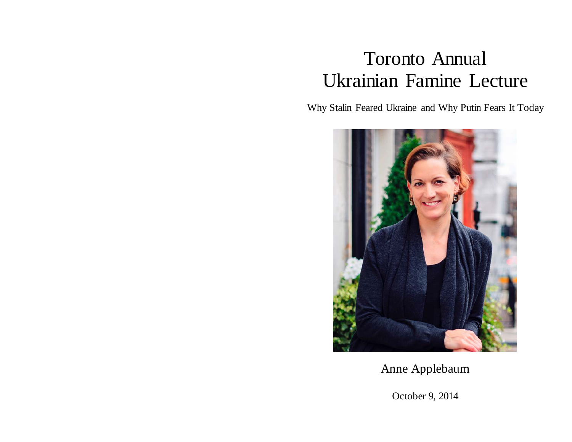## Toronto Annual Ukrainian Famine Lecture

Why Stalin Feared Ukraine and Why Putin Fears It Today



Anne Applebaum

October 9, 2014